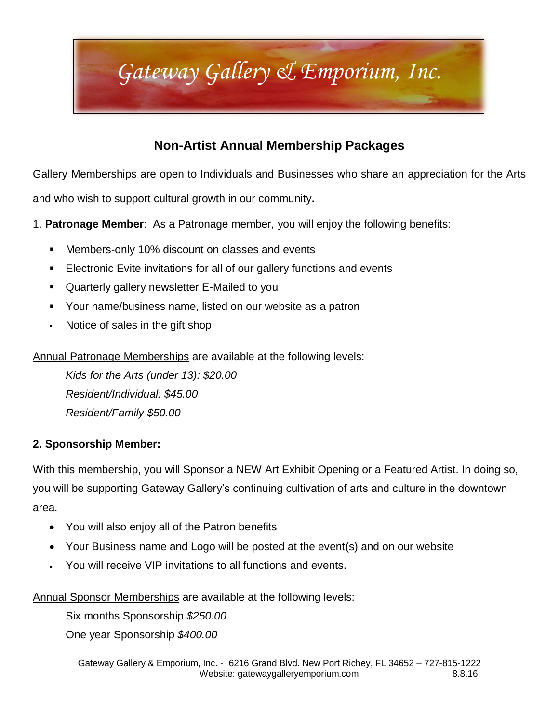# *Gateway Gallery & Emporium, Inc.*

### **Non-Artist Annual Membership Packages**

Gallery Memberships are open to Individuals and Businesses who share an appreciation for the Arts

and who wish to support cultural growth in our community**.** 

1. **Patronage Member**: As a Patronage member, you will enjoy the following benefits:

- **Members-only 10% discount on classes and events**
- **Electronic Evite invitations for all of our gallery functions and events**
- Quarterly gallery newsletter E-Mailed to you
- Your name/business name, listed on our website as a patron
- Notice of sales in the gift shop

Annual Patronage Memberships are available at the following levels:

*Kids for the Arts (under 13): \$20.00 Resident/Individual: \$45.00 Resident/Family \$50.00*

#### **2. Sponsorship Member:**

With this membership, you will Sponsor a NEW Art Exhibit Opening or a Featured Artist. In doing so, you will be supporting Gateway Gallery's continuing cultivation of arts and culture in the downtown area.

- You will also enjoy all of the Patron benefits
- Your Business name and Logo will be posted at the event(s) and on our website
- You will receive VIP invitations to all functions and events.

Annual Sponsor Memberships are available at the following levels:

Six months Sponsorship *\$250.00*

One year Sponsorship *\$400.00*